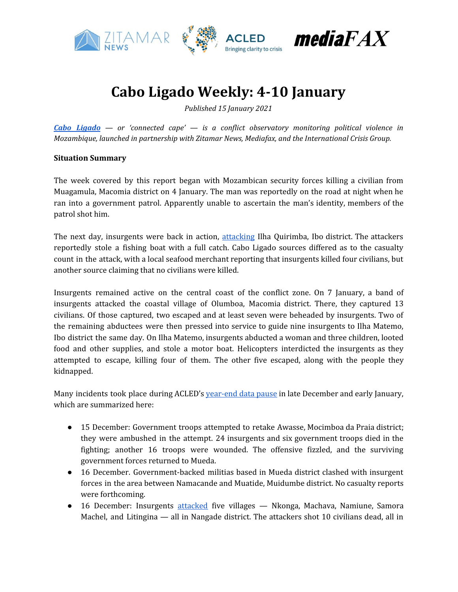

# **Cabo Ligado Weekly: 4-10 January**

*Published 15 January 2021*

*Cabo [Ligado](https://acleddata.com/cabo-ligado-mozambique-conflict-observatory/) — or 'connected cape' — is a conflict observatory monitoring political violence in Mozambique, launched in partnership with Zitamar News, Mediafax, and the International Crisis Group.*

# **Situation Summary**

The week covered by this report began with Mozambican security forces killing a civilian from Muagamula, Macomia district on 4 January. The man was reportedly on the road at night when he ran into a government patrol. Apparently unable to ascertain the man's identity, members of the patrol shot him.

The next day, insurgents were back in action, [attacking](https://zitamar.com/insurgents-kill-four-on-quirimba-island/) Ilha Quirimba, Ibo district. The attackers reportedly stole a fishing boat with a full catch. Cabo Ligado sources differed as to the casualty count in the attack, with a local seafood merchant reporting that insurgents killed four civilians, but another source claiming that no civilians were killed.

Insurgents remained active on the central coast of the conflict zone. On 7 January, a band of insurgents attacked the coastal village of Olumboa, Macomia district. There, they captured 13 civilians. Of those captured, two escaped and at least seven were beheaded by insurgents. Two of the remaining abductees were then pressed into service to guide nine insurgents to Ilha Matemo, Ibo district the same day. On Ilha Matemo, insurgents abducted a woman and three children, looted food and other supplies, and stole a motor boat. Helicopters interdicted the insurgents as they attempted to escape, killing four of them. The other five escaped, along with the people they kidnapped.

Many incidents took place during ACLED's [year-end](https://mailchi.mp/acleddata.com/datapause2020) data pause in late December and early January, which are summarized here:

- 15 December: Government troops attempted to retake Awasse, Mocimboa da Praia district; they were ambushed in the attempt. 24 insurgents and six government troops died in the fighting; another 16 troops were wounded. The offensive fizzled, and the surviving government forces returned to Mueda.
- 16 December. Government-backed militias based in Mueda district clashed with insurgent forces in the area between Namacande and Muatide, Muidumbe district. No casualty reports were forthcoming.
- 16 December: Insurgents [attacked](https://www.voaportugues.com/a/ataques-matam-10-pessoas-em-cabo-delgado/5703727.html) five villages Nkonga, Machava, Namiune, Samora Machel, and Litingina — all in Nangade district. The attackers shot 10 civilians dead, all in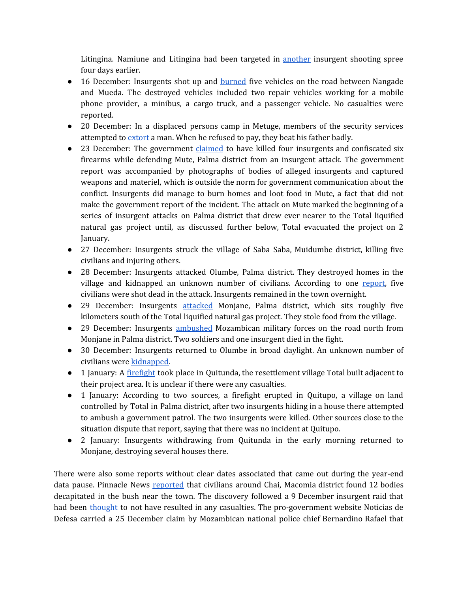Litingina. Namiune and Litingina had been targeted in [another](https://acleddata.com/2020/12/15/cabo-ligado-weekly-7-13-december-2020/) insurgent shooting spree four days earlier.

- 16 December: Insurgents shot up and **[burned](https://www.voaportugues.com/a/ataques-matam-10-pessoas-em-cabo-delgado/5703727.html)** five vehicles on the road between Nangade and Mueda. The destroyed vehicles included two repair vehicles working for a mobile phone provider, a minibus, a cargo truck, and a passenger vehicle. No casualties were reported.
- 20 December: In a displaced persons camp in Metuge, members of the security services attempted to [extort](https://cartamz.com/index.php/politica/item/6857-deslocados-maltratados-por-elementos-das-fds-por-nao-aceitar-extorsao) a man. When he refused to pay, they beat his father badly.
- 23 December: The government [claimed](https://clubofmozambique.com/news/mozambique-terrorists-driven-back-in-palma-district-aim-report-180776/) to have killed four insurgents and confiscated six firearms while defending Mute, Palma district from an insurgent attack. The government report was accompanied by photographs of bodies of alleged insurgents and captured weapons and materiel, which is outside the norm for government communication about the conflict. Insurgents did manage to burn homes and loot food in Mute, a fact that did not make the government report of the incident. The attack on Mute marked the beginning of a series of insurgent attacks on Palma district that drew ever nearer to the Total liquified natural gas project until, as discussed further below, Total evacuated the project on 2 January.
- 27 December: Insurgents struck the village of Saba Saba, Muidumbe district, killing five civilians and injuring others.
- 28 December: Insurgents attacked Olumbe, Palma district. They destroyed homes in the village and kidnapped an unknown number of civilians. According to one [report,](https://www.voaportugues.com/a/cabo-delgado-insurgentes-matam-cinco-pessoas-em-%C3%A1rea-pr%C3%B3xima-a-megaprojectos-de-palma/5717295.html) five civilians were shot dead in the attack. Insurgents remained in the town overnight.
- 29 December: Insurgents [attacked](https://zitamar.com/total-suspends-construction-at-mozambique-lng-as-fighting-reaches-project-perimeter/) Monjane, Palma district, which sits roughly five kilometers south of the Total liquified natural gas project. They stole food from the village.
- 29 December: Insurgents [ambushed](https://cartamz.com/index.php/politica/item/6910-total-previu-ataque-dos-insurgentes-a-1-de-janeiro) Mozambican military forces on the road north from Monjane in Palma district. Two soldiers and one insurgent died in the fight.
- 30 December: Insurgents returned to Olumbe in broad daylight. An unknown number of civilians were [kidnapped.](https://cartamz.com/index.php/politica/item/6910-total-previu-ataque-dos-insurgentes-a-1-de-janeiro)
- 1 January: A [firefight](https://zitamar.com/total-suspends-construction-at-mozambique-lng-as-fighting-reaches-project-perimeter/) took place in Quitunda, the resettlement village Total built adjacent to their project area. It is unclear if there were any casualties.
- 1 January: According to two sources, a firefight erupted in Quitupo, a village on land controlled by Total in Palma district, after two insurgents hiding in a house there attempted to ambush a government patrol. The two insurgents were killed. Other sources close to the situation dispute that report, saying that there was no incident at Quitupo.
- 2 January: Insurgents withdrawing from Quitunda in the early morning returned to Monjane, destroying several houses there.

There were also some reports without clear dates associated that came out during the year-end data pause. Pinnacle News [reported](https://pinnaclenews.net/insurgentes-causam-mais-mortes-nas-matas-de-chai-macomia/) that civilians around Chai, Macomia district found 12 bodies decapitated in the bush near the town. The discovery followed a 9 December insurgent raid that had been [thought](https://acleddata.com/2020/12/15/cabo-ligado-weekly-7-13-december-2020/) to not have resulted in any casualties. The pro-government website Noticias de Defesa carried a 25 December claim by Mozambican national police chief Bernardino Rafael that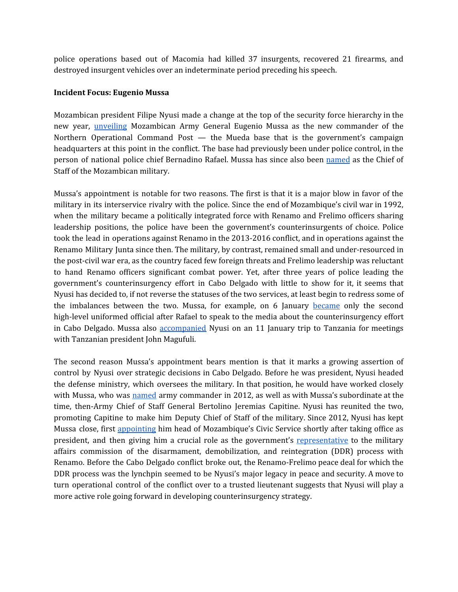police operations based out of Macomia had killed 37 insurgents, recovered 21 firearms, and destroyed insurgent vehicles over an indeterminate period preceding his speech.

### **Incident Focus: Eugenio Mussa**

Mozambican president Filipe Nyusi made a change at the top of the security force hierarchy in the new year, *[unveiling](https://cddmoz.org/wp-content/uploads/2021/01/NEW-APPROACH-TO-THE-CONFLICT_-Armed-Forces-begin-to-gain-visibility-in-the-operational-command-in-Cabo-Delgado.pdf)* Mozambican Army General Eugenio Mussa as the new commander of the Northern Operational Command Post — the Mueda base that is the government's campaign headquarters at this point in the conflict. The base had previously been under police control, in the person of national police chief Bernadino Rafael. Mussa has since also been [named](https://cddmoz.org/wp-content/uploads/2021/01/CORRIDA-CONTRA-O-TEMPO-PARA-CONTER-A-INSURGENCIA-_-Nyusi-faz-mexidas-na-Defesa-e-promove-Eugenio-Mussa-para-Chefe-do-Estado-Maior-General-das-FADM.pdf) as the Chief of Staff of the Mozambican military.

Mussa's appointment is notable for two reasons. The first is that it is a major blow in favor of the military in its interservice rivalry with the police. Since the end of Mozambique's civil war in 1992, when the military became a politically integrated force with Renamo and Frelimo officers sharing leadership positions, the police have been the government's counterinsurgents of choice. Police took the lead in operations against Renamo in the 2013-2016 conflict, and in operations against the Renamo Military Junta since then. The military, by contrast, remained small and under-resourced in the post-civil war era, as the country faced few foreign threats and Frelimo leadership was reluctant to hand Renamo officers significant combat power. Yet, after three years of police leading the government's counterinsurgency effort in Cabo Delgado with little to show for it, it seems that Nyusi has decided to, if not reverse the statuses of the two services, at least begin to redress some of the imbalances between the two. Mussa, for example, on 6 January [became](https://cddmoz.org/wp-content/uploads/2021/01/NEW-APPROACH-TO-THE-CONFLICT_-Armed-Forces-begin-to-gain-visibility-in-the-operational-command-in-Cabo-Delgado.pdf) only the second high-level uniformed official after Rafael to speak to the media about the counterinsurgency effort in Cabo Delgado. Mussa also [accompanied](https://cddmoz.org/wp-content/uploads/2021/01/CORRIDA-CONTRA-O-TEMPO-PARA-CONTER-A-INSURGENCIA-_-Nyusi-faz-mexidas-na-Defesa-e-promove-Eugenio-Mussa-para-Chefe-do-Estado-Maior-General-das-FADM.pdf) Nyusi on an 11 January trip to Tanzania for meetings with Tanzanian president John Magufuli.

The second reason Mussa's appointment bears mention is that it marks a growing assertion of control by Nyusi over strategic decisions in Cabo Delgado. Before he was president, Nyusi headed the defense ministry, which oversees the military. In that position, he would have worked closely with Mussa, who was [named](https://verdade.co.mz/empossado-novo-chefe-do-estado-maior-do-ramo-do-exercito/) army commander in 2012, as well as with Mussa's subordinate at the time, then-Army Chief of Staff General Bertolino Jeremias Capitine. Nyusi has reunited the two, promoting Capitine to make him Deputy Chief of Staff of the military. Since 2012, Nyusi has kept Mussa close, first [appointing](https://clubofmozambique.com/news/reconciliation-in-armed-forces-a-great-victory-president-nyusi/) him head of Mozambique's Civic Service shortly after taking office as president, and then giving him a crucial role as the government's [representative](https://jornalnoticias.co.mz/index.php/2018-05-04-10-20-41/92056-nova-pagina-no-processo-de-pacificacao-do-pais-ddr-ja-esta-em-marcha) to the military affairs commission of the disarmament, demobilization, and reintegration (DDR) process with Renamo. Before the Cabo Delgado conflict broke out, the Renamo-Frelimo peace deal for which the DDR process was the lynchpin seemed to be Nyusi's major legacy in peace and security. A move to turn operational control of the conflict over to a trusted lieutenant suggests that Nyusi will play a more active role going forward in developing counterinsurgency strategy.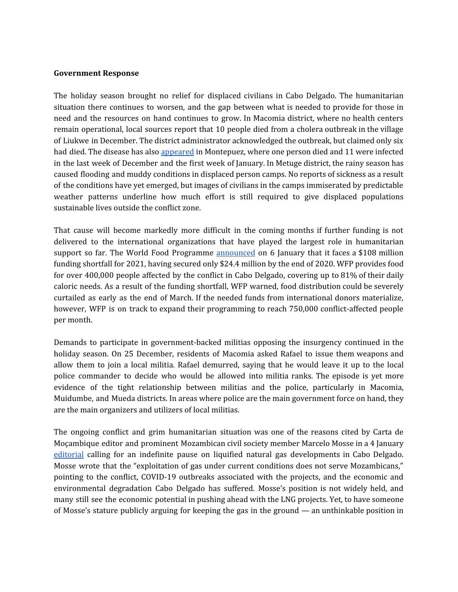#### **Government Response**

The holiday season brought no relief for displaced civilians in Cabo Delgado. The humanitarian situation there continues to worsen, and the gap between what is needed to provide for those in need and the resources on hand continues to grow. In Macomia district, where no health centers remain operational, local sources report that 10 people died from a cholera outbreak in the village of Liukwe in December. The district administrator acknowledged the outbreak, but claimed only six had died. The disease has also [appeared](https://opais.co.mz/noticia/colera-continua-a-matar-em-cabo-delgado-e-mais-um-distrito-regista-surto) in Montepuez, where one person died and 11 were infected in the last week of December and the first week of January. In Metuge district, the rainy season has caused flooding and muddy conditions in displaced person camps. No reports of sickness as a result of the conditions have yet emerged, but images of civilians in the camps immiserated by predictable weather patterns underline how much effort is still required to give displaced populations sustainable lives outside the conflict zone.

That cause will become markedly more difficult in the coming months if further funding is not delivered to the international organizations that have played the largest role in humanitarian support so far. The World Food Programme **[announced](https://www.wfp.org/news/wfp-provides-food-assistance-four-hundred-thousand-affected-conflict-cabo-delgado-despite)** on 6 January that it faces a \$108 million funding shortfall for 2021, having secured only \$24.4 million by the end of 2020. WFP provides food for over 400,000 people affected by the conflict in Cabo Delgado, covering up to 81% of their daily caloric needs. As a result of the funding shortfall, WFP warned, food distribution could be severely curtailed as early as the end of March. If the needed funds from international donors materialize, however, WFP is on track to expand their programming to reach 750,000 conflict-affected people per month.

Demands to participate in government-backed militias opposing the insurgency continued in the holiday season. On 25 December, residents of Macomia asked Rafael to issue them weapons and allow them to join a local militia. Rafael demurred, saying that he would leave it up to the local police commander to decide who would be allowed into militia ranks. The episode is yet more evidence of the tight relationship between militias and the police, particularly in Macomia, Muidumbe, and Mueda districts. In areas where police are the main government force on hand, they are the main organizers and utilizers of local militias.

The ongoing conflict and grim humanitarian situation was one of the reasons cited by Carta de Moçambique editor and prominent Mozambican civil society member Marcelo Mosse in a 4 January [editorial](https://cartamz.com/index.php/politica/item/6911-carta-ao-leitor-vamos-adiar-a-exploracao-do-gas-do-rovuma) calling for an indefinite pause on liquified natural gas developments in Cabo Delgado. Mosse wrote that the "exploitation of gas under current conditions does not serve Mozambicans," pointing to the conflict, COVID-19 outbreaks associated with the projects, and the economic and environmental degradation Cabo Delgado has suffered. Mosse's position is not widely held, and many still see the economic potential in pushing ahead with the LNG projects. Yet, to have someone of Mosse's stature publicly arguing for keeping the gas in the ground — an unthinkable position in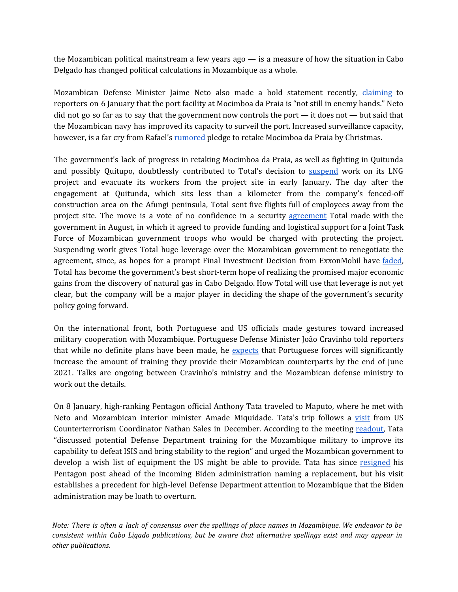the Mozambican political mainstream a few years ago — is a measure of how the situation in Cabo Delgado has changed political calculations in Mozambique as a whole.

Mozambican Defense Minister Jaime Neto also made a bold statement recently, [claiming](https://www.rtp.pt/noticias/mundo/marinha-de-guerra-reforcou-fiscalizacao-no-porto-de-mocimboa-da-praia_n1287523) to reporters on 6 January that the port facility at Mocimboa da Praia is "not still in enemy hands." Neto did not go so far as to say that the government now controls the port — it does not — but said that the Mozambican navy has improved its capacity to surveil the port. Increased surveillance capacity, however, is a far cry from Rafael's [rumored](https://twitter.com/TomBowk/status/1341366316926562305/photo/1) pledge to retake Mocimboa da Praia by Christmas.

The government's lack of progress in retaking Mocimboa da Praia, as well as fighting in Quitunda and possibly Quitupo, doubtlessly contributed to Total's decision to [suspend](https://zitamar.com/total-suspends-construction-at-mozambique-lng-as-fighting-reaches-project-perimeter/) work on its LNG project and evacuate its workers from the project site in early January. The day after the engagement at Quitunda, which sits less than a kilometer from the company's fenced-off construction area on the Afungi peninsula, Total sent five flights full of employees away from the project site. The move is a vote of no confidence in a security [agreement](https://acleddata.com/2020/08/25/cabo-ligado-weekly-17-23-august-2020/) Total made with the government in August, in which it agreed to provide funding and logistical support for a Joint Task Force of Mozambican government troops who would be charged with protecting the project. Suspending work gives Total huge leverage over the Mozambican government to renegotiate the agreement, since, as hopes for a prompt Final Investment Decision from ExxonMobil have [faded,](https://www.reuters.com/article/exxonmobil-mozambique-lng/exclusive-exxon-and-total-in-talks-over-mozambique-lng-resource-sharing-deal-sources-idINL8N2IB2P0) Total has become the government's best short-term hope of realizing the promised major economic gains from the discovery of natural gas in Cabo Delgado. How Total will use that leverage is not yet clear, but the company will be a major player in deciding the shape of the government's security policy going forward.

On the international front, both Portuguese and US officials made gestures toward increased military cooperation with Mozambique. Portuguese Defense Minister João Cravinho told reporters that while no definite plans have been made, he [expects](https://www.tsf.pt/portugal/politica/defesa-preve-reforco-da-cooperacao-militar-com-mocambique-no-1-semestre-13199735.html) that Portuguese forces will significantly increase the amount of training they provide their Mozambican counterparts by the end of June 2021. Talks are ongoing between Cravinho's ministry and the Mozambican defense ministry to work out the details.

On 8 January, high-ranking Pentagon official Anthony Tata traveled to Maputo, where he met with Neto and Mozambican interior minister Amade Miquidade. Tata's trip follows a [visit](https://acleddata.com/2020/12/08/cabo-ligado-weekly-30-november-6-december/) from US Counterterrorism Coordinator Nathan Sales in December. According to the meeting [readout,](https://www.defense.gov/Newsroom/Releases/Release/Article/2467246/readout-of-pdo-under-secretary-of-defense-for-policy-anthony-tata-meetings-with/) Tata "discussed potential Defense Department training for the Mozambique military to improve its capability to defeat ISIS and bring stability to the region" and urged the Mozambican government to develop a wish list of equipment the US might be able to provide. Tata has since [resigned](https://www.politico.com/news/2021/01/14/biden-defense-secretary-austin-norquist-459321) his Pentagon post ahead of the incoming Biden administration naming a replacement, but his visit establishes a precedent for high-level Defense Department attention to Mozambique that the Biden administration may be loath to overturn.

*Note: There is often a lack of consensus over the spellings of place names in Mozambique. We endeavor to be consistent within Cabo Ligado publications, but be aware that alternative spellings exist and may appear in other publications.*